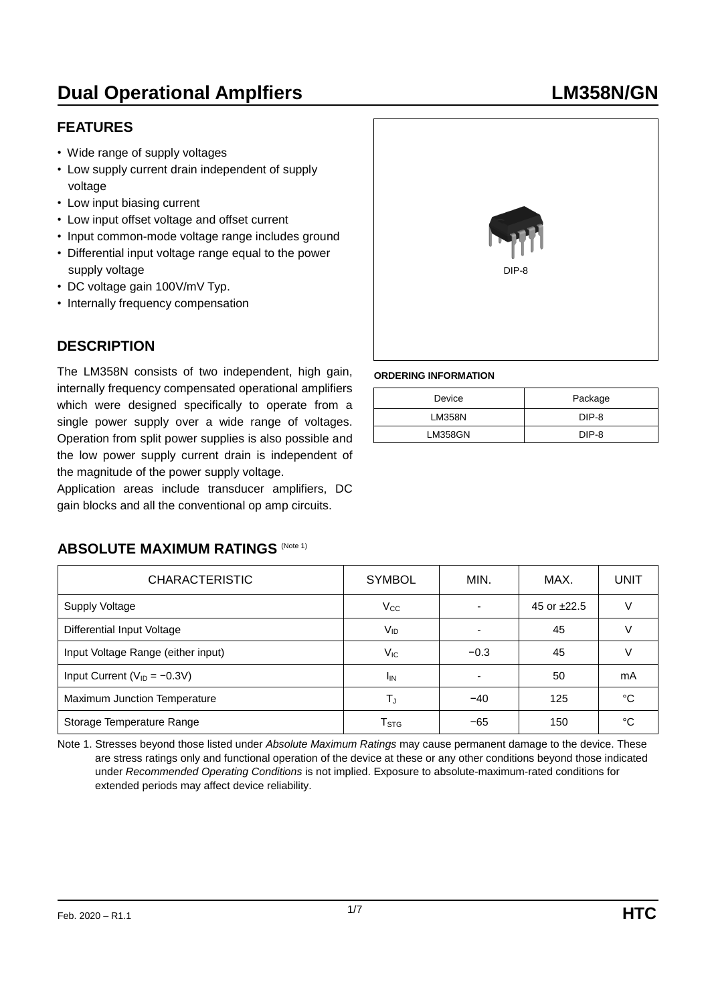# **Dual Operational Amplfiers LM358N/GN**

### **FEATURES**

- Wide range of supply voltages
- Low supply current drain independent of supply voltage
- Low input biasing current
- Low input offset voltage and offset current
- Input common-mode voltage range includes ground
- Differential input voltage range equal to the power supply voltage
- DC voltage gain 100V/mV Typ.
- Internally frequency compensation

## **DESCRIPTION**

The LM358N consists of two independent, high gain, internally frequency compensated operational amplifiers which were designed specifically to operate from a single power supply over a wide range of voltages. Operation from split power supplies is also possible and the low power supply current drain is independent of the magnitude of the power supply voltage.

Application areas include transducer amplifiers, DC gain blocks and all the conventional op amp circuits.



#### **ORDERING INFORMATION**

| Device         | Package |
|----------------|---------|
| <b>LM358N</b>  | DIP-8   |
| <b>LM358GN</b> | DIP-8   |

### **ABSOLUTE MAXIMUM RATINGS (Note 1)**

| <b>CHARACTERISTIC</b>              | <b>SYMBOL</b>               | MIN.                     | MAX.             | UNIT |
|------------------------------------|-----------------------------|--------------------------|------------------|------|
| Supply Voltage                     | $V_{\rm CC}$                | $\blacksquare$           | 45 or $\pm 22.5$ |      |
| Differential Input Voltage         | V <sub>ID</sub>             | ٠                        | 45               |      |
| Input Voltage Range (either input) | $V_{IC}$                    | $-0.3$                   | 45               |      |
| Input Current ( $V_{ID} = -0.3V$ ) | <sup>I</sup> IN             | $\overline{\phantom{0}}$ | 50               | mA   |
| Maximum Junction Temperature       | T,                          | $-40$                    | 125              | °C   |
| Storage Temperature Range          | $\mathsf{T}_{\texttt{STG}}$ | $-65$                    | 150              | °C   |

Note 1. Stresses beyond those listed under *Absolute Maximum Ratings* may cause permanent damage to the device. These are stress ratings only and functional operation of the device at these or any other conditions beyond those indicated under *Recommended Operating Conditions* is not implied. Exposure to absolute-maximum-rated conditions for extended periods may affect device reliability.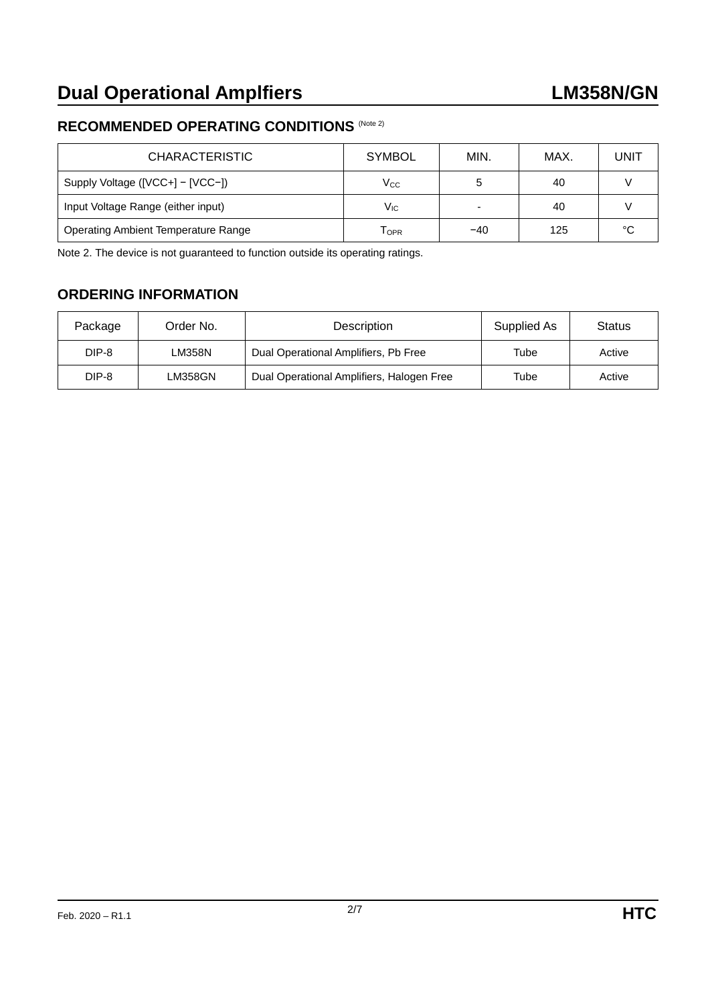#### **RECOMMENDED OPERATING CONDITIONS** (Note 2)

| <b>CHARACTERISTIC</b>                      | <b>SYMBOL</b>   | MIN.  | MAX. | UNIT   |
|--------------------------------------------|-----------------|-------|------|--------|
| Supply Voltage ([VCC+] - [VCC-])           | $\rm V_{CC}$    | G     | 40   |        |
| Input Voltage Range (either input)         | V <sub>IC</sub> | -     | 40   |        |
| <b>Operating Ambient Temperature Range</b> | <b>LOPR</b>     | $-40$ | 125  | $\sim$ |

Note 2. The device is not guaranteed to function outside its operating ratings.

## **ORDERING INFORMATION**

| Package | Order No.      | Description                               | Supplied As | <b>Status</b> |
|---------|----------------|-------------------------------------------|-------------|---------------|
| DIP-8   | LM358N         | Dual Operational Amplifiers, Pb Free      | Tube        | Active        |
| DIP-8   | <b>LM358GN</b> | Dual Operational Amplifiers, Halogen Free | Tube        | Active        |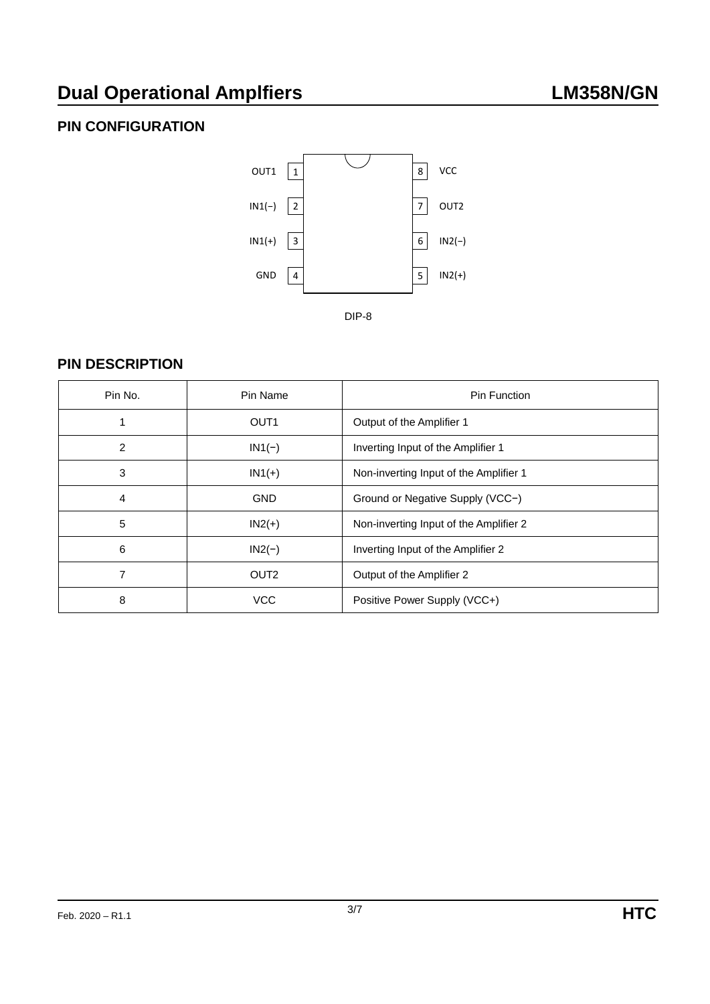## **PIN CONFIGURATION**



## **PIN DESCRIPTION**

| Pin No. | Pin Name         | <b>Pin Function</b>                    |
|---------|------------------|----------------------------------------|
|         | OUT <sub>1</sub> | Output of the Amplifier 1              |
| 2       | $IN1(-)$         | Inverting Input of the Amplifier 1     |
| 3       | $IN1(+)$         | Non-inverting Input of the Amplifier 1 |
| 4       | <b>GND</b>       | Ground or Negative Supply (VCC-)       |
| 5       | $IN2(+)$         | Non-inverting Input of the Amplifier 2 |
| 6       | $IN2(-)$         | Inverting Input of the Amplifier 2     |
| 7       | OUT <sub>2</sub> | Output of the Amplifier 2              |
| 8       | <b>VCC</b>       | Positive Power Supply (VCC+)           |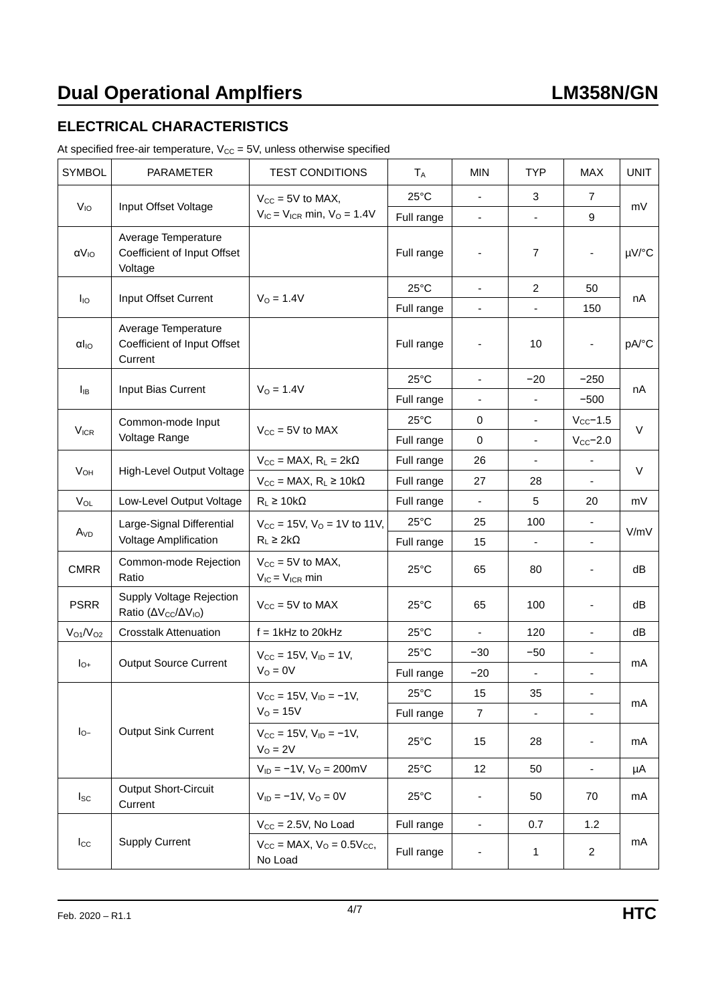## **ELECTRICAL CHARACTERISTICS**

| At specified free-air temperature, $V_{CC} = 5V$ , unless otherwise specified |  |  |
|-------------------------------------------------------------------------------|--|--|
|-------------------------------------------------------------------------------|--|--|

| <b>SYMBOL</b>                    | <b>PARAMETER</b>                                                        | <b>TEST CONDITIONS</b>                                      | $T_A$          | <b>MIN</b>               | <b>TYP</b>               | <b>MAX</b>               | <b>UNIT</b> |
|----------------------------------|-------------------------------------------------------------------------|-------------------------------------------------------------|----------------|--------------------------|--------------------------|--------------------------|-------------|
|                                  | V <sub>IO</sub><br>Input Offset Voltage                                 | $V_{CC}$ = 5V to MAX,                                       | $25^{\circ}$ C | $\overline{\phantom{a}}$ | 3                        | 7                        |             |
|                                  |                                                                         | $V_{IC}$ = $V_{ICR}$ min, $V_{O}$ = 1.4V                    | Full range     | $\overline{\phantom{a}}$ | $\overline{\phantom{a}}$ | 9                        | mV          |
| $\alpha V_{IO}$                  | Average Temperature<br>Coefficient of Input Offset<br>Voltage           |                                                             | Full range     | ÷                        | $\overline{7}$           |                          | µV/°C       |
|                                  |                                                                         | $V_0 = 1.4V$                                                | $25^{\circ}$ C | $\blacksquare$           | $\overline{c}$           | 50                       | nA          |
| $I_{\text{IO}}$                  | Input Offset Current                                                    |                                                             | Full range     |                          |                          | 150                      |             |
| $\alpha I_{IO}$                  | Average Temperature<br>Coefficient of Input Offset<br>Current           |                                                             | Full range     |                          | 10                       |                          | pA/°C       |
| $I_{IB}$                         | Input Bias Current                                                      | $V_0 = 1.4V$                                                | $25^{\circ}$ C | ÷,                       | $-20$                    | $-250$                   | nA          |
|                                  |                                                                         |                                                             | Full range     |                          |                          | $-500$                   |             |
| $V_{ICR}$                        | Common-mode Input                                                       | $V_{CC}$ = 5V to MAX                                        | $25^{\circ}$ C | 0                        | $\blacksquare$           | $V_{CC}$ -1.5            | $\vee$      |
|                                  | Voltage Range                                                           |                                                             | Full range     | $\mathbf 0$              | $\blacksquare$           | $V_{CC}$ -2.0            |             |
| V <sub>OH</sub>                  | High-Level Output Voltage                                               | $V_{CC}$ = MAX, $R_L$ = 2k $\Omega$                         | Full range     | 26                       | $\overline{\phantom{a}}$ | $\overline{\phantom{a}}$ | $\vee$      |
|                                  |                                                                         | $V_{CC} = MAX, R_L \ge 10k\Omega$                           | Full range     | 27                       | 28                       |                          |             |
| $V_{OL}$                         | Low-Level Output Voltage                                                | $R_L \geq 10k\Omega$                                        | Full range     |                          | 5                        | 20                       | mV          |
| A <sub>VD</sub>                  | Large-Signal Differential                                               | $V_{CC}$ = 15V, $V_{O}$ = 1V to 11V,<br>$R_L \geq 2k\Omega$ | $25^{\circ}$ C | 25                       | 100                      |                          | V/mV        |
|                                  | Voltage Amplification                                                   |                                                             | Full range     | 15                       | ä,                       |                          |             |
| <b>CMRR</b>                      | Common-mode Rejection<br>Ratio                                          | $V_{CC} = 5V$ to MAX,<br>$V_{IC} = V_{ICR}$ min             | $25^{\circ}$ C | 65                       | 80                       | $\blacksquare$           | dB          |
| <b>PSRR</b>                      | Supply Voltage Rejection<br>Ratio (ΔV <sub>cc</sub> /ΔV <sub>IO</sub> ) | $V_{CC}$ = 5V to MAX                                        | $25^{\circ}$ C | 65                       | 100                      | $\overline{\phantom{a}}$ | dB          |
| V <sub>O1</sub> /V <sub>O2</sub> | <b>Crosstalk Attenuation</b>                                            | $f = 1$ kHz to 20kHz                                        | $25^{\circ}$ C | $\overline{\phantom{a}}$ | 120                      | $\overline{\phantom{a}}$ | dB          |
|                                  | <b>Output Source Current</b>                                            | $V_{\text{CC}} = 15V$ , $V_{\text{ID}} = 1V$ ,<br>$VO = 0V$ | $25^{\circ}$ C | $-30$                    | $-50$                    |                          |             |
| $I_{O+}$                         |                                                                         |                                                             | Full range     | $-20$                    | $\overline{\phantom{a}}$ |                          | mA          |
|                                  |                                                                         | $V_{CC}$ = 15V, $V_{ID}$ = -1V,                             | $25^{\circ}$ C | 15                       | 35                       |                          |             |
|                                  |                                                                         | $VO = 15V$                                                  | Full range     | $\overline{7}$           | $\blacksquare$           | $\blacksquare$           | mA          |
| $I_{O}$                          | <b>Output Sink Current</b>                                              | $V_{CC} = 15V$ , $V_{ID} = -1V$ ,<br>$VO = 2V$              | $25^{\circ}$ C | 15                       | 28                       | $\overline{\phantom{a}}$ | mA          |
|                                  |                                                                         | $V_{ID} = -1V$ , $V_{O} = 200$ mV                           | $25^{\circ}$ C | 12                       | 50                       | $\overline{\phantom{a}}$ | μA          |
| $I_{SC}$                         | <b>Output Short-Circuit</b><br>Current                                  | $V_{ID} = -1V$ , $V_{O} = 0V$                               | $25^{\circ}$ C | -                        | 50                       | 70                       | mA          |
|                                  |                                                                         | $V_{CC} = 2.5V$ , No Load                                   | Full range     | $\overline{\phantom{a}}$ | 0.7                      | 1.2                      |             |
| $I_{\rm CC}$                     | <b>Supply Current</b>                                                   | $V_{CC}$ = MAX, $V_{O}$ = 0.5 $V_{CC}$ ,<br>No Load         | Full range     | -                        | 1                        | $\overline{2}$           | mA          |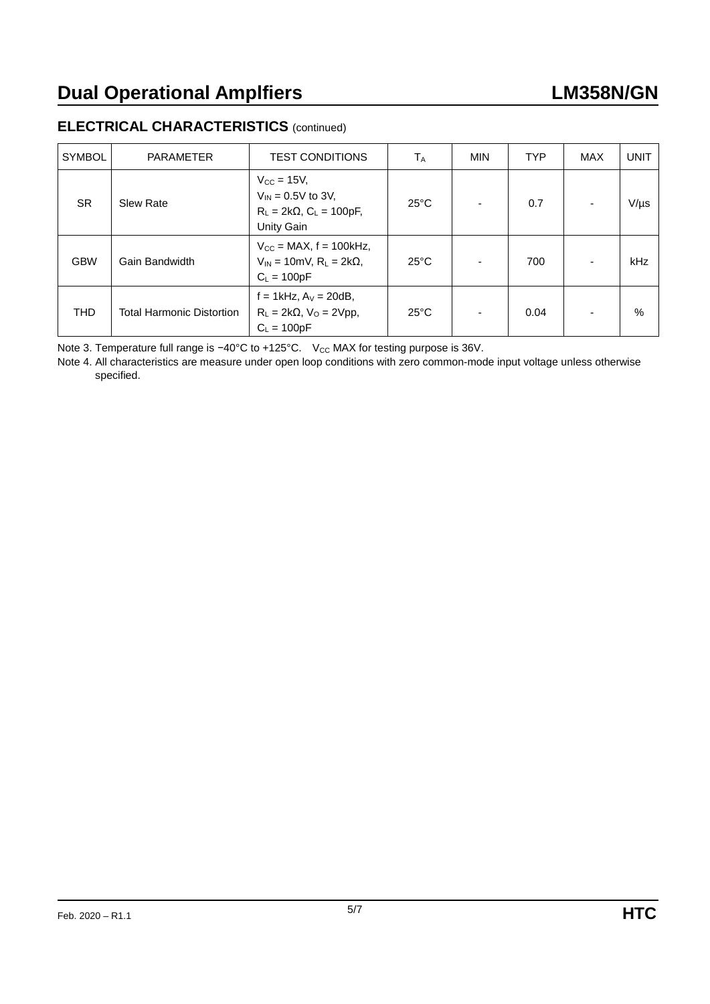## **ELECTRICAL CHARACTERISTICS** (continued)

| <b>SYMBOL</b> | <b>PARAMETER</b>                 | <b>TEST CONDITIONS</b>                                                                                 | $T_A$          | <b>MIN</b>               | <b>TYP</b> | MAX                      | <b>UNIT</b> |
|---------------|----------------------------------|--------------------------------------------------------------------------------------------------------|----------------|--------------------------|------------|--------------------------|-------------|
| <b>SR</b>     | <b>Slew Rate</b>                 | $V_{\rm CC}$ = 15V,<br>$V_{IN} = 0.5V$ to 3V,<br>$R_L = 2k\Omega$ , $C_L = 100pF$ ,<br>Unity Gain      | $25^{\circ}$ C | $\overline{\phantom{0}}$ | 0.7        |                          | $V/\mu s$   |
| <b>GBW</b>    | Gain Bandwidth                   | $V_{\text{CC}}$ = MAX, f = 100kHz,<br>$V_{IN}$ = 10mV, R <sub>L</sub> = 2k $\Omega$ ,<br>$C_L = 100pF$ | $25^{\circ}$ C | $\blacksquare$           | 700        | $\overline{\phantom{a}}$ | kHz         |
| <b>THD</b>    | <b>Total Harmonic Distortion</b> | $f = 1$ kHz, $A_V = 20$ dB,<br>$R_L = 2k\Omega$ , $V_O = 2Vpp$ ,<br>$C_1 = 100pF$                      | $25^{\circ}$ C | $\overline{\phantom{a}}$ | 0.04       |                          | $\%$        |

Note 3. Temperature full range is −40°C to +125°C. V<sub>CC</sub> MAX for testing purpose is 36V.

Note 4. All characteristics are measure under open loop conditions with zero common-mode input voltage unless otherwise specified.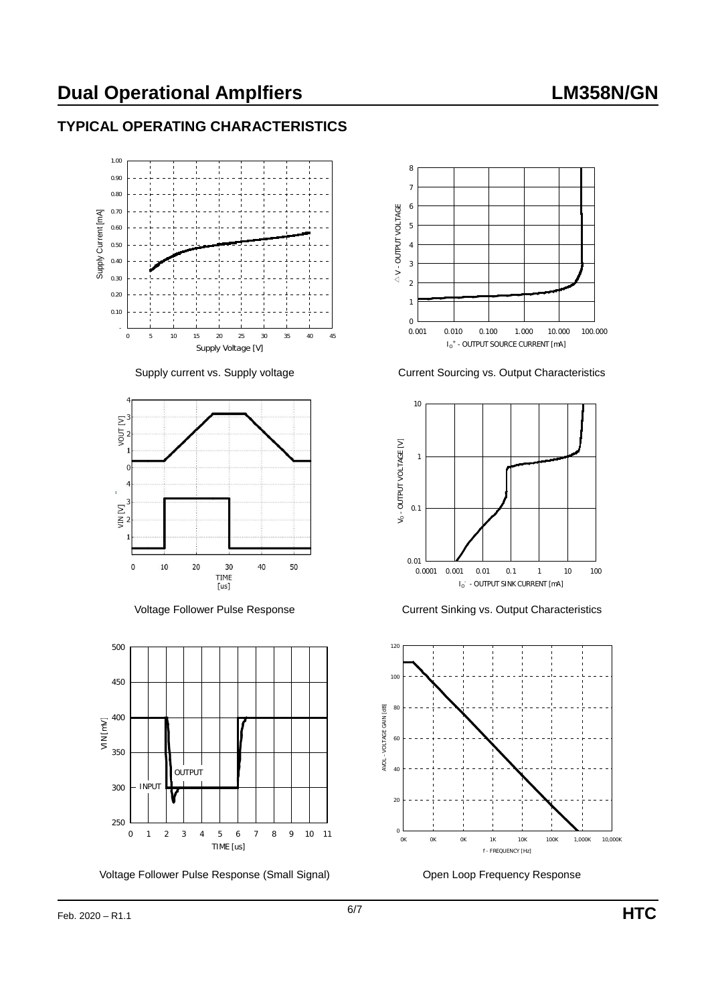# **Dual Operational Amplfiers LM358N/GN**

## **TYPICAL OPERATING CHARACTERISTICS**







Voltage Follower Pulse Response (Small Signal) **Communist Communist Communist Communist Communist Communist Communist Communist Communist Communist Communist Communist Communist Communist Communist Communist Communist Comm** 



Supply current vs. Supply voltage Current Sourcing vs. Output Characteristics



Voltage Follower Pulse Response Current Sinking vs. Output Characteristics